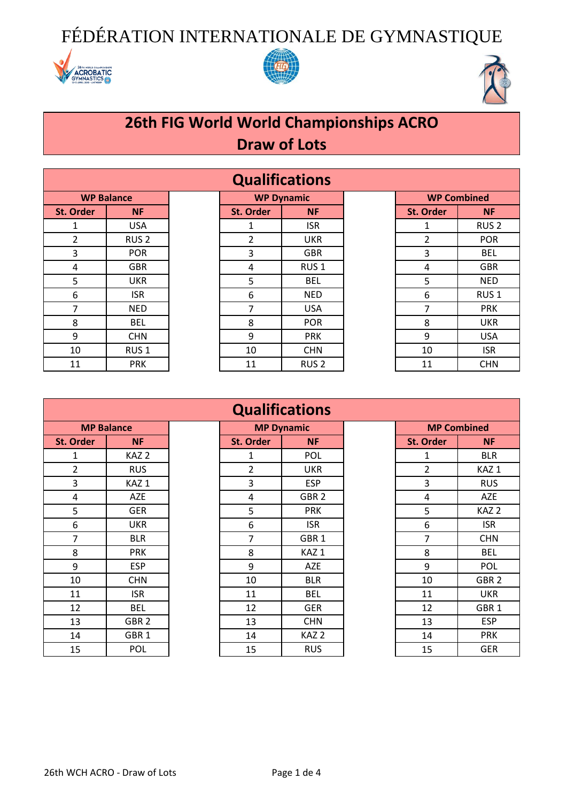





### **26th FIG World World Championships ACRO Draw of Lots**

| <b>WP Balance</b> |                  |  |  |  |  |  |
|-------------------|------------------|--|--|--|--|--|
| <b>St. Order</b>  | ΝF               |  |  |  |  |  |
| 1                 | USA              |  |  |  |  |  |
| 2                 | RUS <sub>2</sub> |  |  |  |  |  |
| 3                 | <b>POR</b>       |  |  |  |  |  |
| 4                 | GBR              |  |  |  |  |  |
| 5                 | UKR              |  |  |  |  |  |
| 6                 | <b>ISR</b>       |  |  |  |  |  |
| 7                 | <b>NED</b>       |  |  |  |  |  |
| 8                 | BEL              |  |  |  |  |  |
| 9                 | <b>CHN</b>       |  |  |  |  |  |
| 10                | RUS <sub>1</sub> |  |  |  |  |  |
| 11                | PRK              |  |  |  |  |  |

| <b>Qualifications</b>                                        |                  |  |                  |                  |  |                  |                  |
|--------------------------------------------------------------|------------------|--|------------------|------------------|--|------------------|------------------|
| <b>WP Dynamic</b><br><b>WP Combined</b><br><b>WP Balance</b> |                  |  |                  |                  |  |                  |                  |
| <b>St. Order</b>                                             | <b>NF</b>        |  | <b>St. Order</b> | <b>NF</b>        |  | <b>St. Order</b> | <b>NF</b>        |
|                                                              | <b>USA</b>       |  |                  | <b>ISR</b>       |  |                  | RUS <sub>2</sub> |
| $\overline{2}$                                               | RUS <sub>2</sub> |  | 2                | <b>UKR</b>       |  | 2                | <b>POR</b>       |
| 3                                                            | <b>POR</b>       |  | 3                | <b>GBR</b>       |  | 3                | <b>BEL</b>       |
| 4                                                            | <b>GBR</b>       |  | 4                | RUS <sub>1</sub> |  | 4                | <b>GBR</b>       |
| 5                                                            | <b>UKR</b>       |  | 5                | <b>BEL</b>       |  | 5                | <b>NED</b>       |
| 6                                                            | <b>ISR</b>       |  | 6                | <b>NED</b>       |  | 6                | RUS <sub>1</sub> |
| 7                                                            | <b>NED</b>       |  | 7                | <b>USA</b>       |  | 7                | <b>PRK</b>       |
| 8                                                            | <b>BEL</b>       |  | 8                | <b>POR</b>       |  | 8                | <b>UKR</b>       |
| 9                                                            | <b>CHN</b>       |  | 9                | <b>PRK</b>       |  | 9                | <b>USA</b>       |
| 10                                                           | RUS <sub>1</sub> |  | 10               | <b>CHN</b>       |  | 10               | <b>ISR</b>       |
| 11                                                           | <b>PRK</b>       |  | 11               | RUS <sub>2</sub> |  | 11               | <b>CHN</b>       |

| <b>WP Combined</b> |                  |  |  |  |  |
|--------------------|------------------|--|--|--|--|
| <b>St. Order</b>   | ΝF               |  |  |  |  |
| 1                  | RUS <sub>2</sub> |  |  |  |  |
| $\overline{2}$     | <b>POR</b>       |  |  |  |  |
| 3                  | <b>BEL</b>       |  |  |  |  |
| 4                  | GBR              |  |  |  |  |
| 5                  | <b>NED</b>       |  |  |  |  |
| 6                  | RUS <sub>1</sub> |  |  |  |  |
| 7                  | <b>PRK</b>       |  |  |  |  |
| 8                  | UKR              |  |  |  |  |
| 9                  | USA              |  |  |  |  |
| 10                 | <b>ISR</b>       |  |  |  |  |
| 11                 | <b>CHN</b>       |  |  |  |  |

| <b>MP Balance</b> |            |  |  |  |  |
|-------------------|------------|--|--|--|--|
| <b>St. Order</b>  | ΝF         |  |  |  |  |
| 1                 | KAZ 2      |  |  |  |  |
| 2                 | RUS        |  |  |  |  |
| 3                 | KAZ 1      |  |  |  |  |
| 4                 | AZE        |  |  |  |  |
| 5                 | GER        |  |  |  |  |
| 6                 | UKR        |  |  |  |  |
| 7                 | BLR        |  |  |  |  |
| 8                 | PRK        |  |  |  |  |
| 9                 | ESP        |  |  |  |  |
| 10                | <b>CHN</b> |  |  |  |  |
| 11                | ISR        |  |  |  |  |
| 12                | BEL        |  |  |  |  |
| 13                | GBR 2      |  |  |  |  |
| 14                | GBR 1      |  |  |  |  |
| 15                | POL        |  |  |  |  |

### **St. Order NF St. Order NF St. Order NF** 1 | KAZ 2 | | | 1 | POL | | | | | | BLR 2 | RUS | | 2 | UKR | | | 2 | KAZ 1 3 | KAZ 1 | | | 3 | ESP | | | | | | | RUS 4 | AZE | | | 4 | GBR 2 | | | | | | AZE 5 | GER | | 5 | PRK | | 5 | KAZ 2 6 UKR 6 ISR 6 ISR 7 | BLR | | | 7 | GBR1 | | | | 7 | CHN 8 | PRK | | 8 | KAZ 1 | | 8 | BEL 9 | ESP | | 9 | AZE | | 9 | POL 10 | CHN | | 10 | BLR | | 10 | GBR 2 11 | ISR | 11 | BEL | 11 | UKR 12 | BEL | | 12 | GER | | 12 | GBR 1 13 | GBR 2 | 13 | CHN | | 13 | ESP 14 GBR 1 14 KAZ 2 14 PRK **Qualifications MP Dynamic**

| <b>Qualifications</b> |                   |                                         |                  |                  |  |                  |                  |  |  |
|-----------------------|-------------------|-----------------------------------------|------------------|------------------|--|------------------|------------------|--|--|
|                       | <b>MP Balance</b> | <b>MP Dynamic</b><br><b>MP Combined</b> |                  |                  |  |                  |                  |  |  |
| <b>Order</b>          | <b>NF</b>         |                                         | <b>St. Order</b> | <b>NF</b>        |  | <b>St. Order</b> | <b>NF</b>        |  |  |
| $\mathbf{1}$          | KAZ <sub>2</sub>  |                                         |                  | POL              |  | 1                | <b>BLR</b>       |  |  |
| $\overline{2}$        | <b>RUS</b>        |                                         | $\overline{2}$   | <b>UKR</b>       |  | 2                | KAZ <sub>1</sub> |  |  |
| $\mathsf{3}$          | KAZ <sub>1</sub>  |                                         | 3                | <b>ESP</b>       |  | 3                | <b>RUS</b>       |  |  |
| 4                     | <b>AZE</b>        |                                         | 4                | GBR <sub>2</sub> |  | 4                | AZE              |  |  |
| 5                     | <b>GER</b>        |                                         | 5                | <b>PRK</b>       |  | 5                | KAZ <sub>2</sub> |  |  |
| 6                     | <b>UKR</b>        |                                         | 6                | <b>ISR</b>       |  | 6                | <b>ISR</b>       |  |  |
| $\overline{7}$        | <b>BLR</b>        |                                         | $\overline{7}$   | GBR <sub>1</sub> |  | 7                | <b>CHN</b>       |  |  |
| $\,8\,$               | <b>PRK</b>        |                                         | 8                | KAZ <sub>1</sub> |  | 8                | <b>BEL</b>       |  |  |
| $\boldsymbol{9}$      | <b>ESP</b>        |                                         | 9                | <b>AZE</b>       |  | 9                | POL              |  |  |
| 10                    | <b>CHN</b>        |                                         | 10               | <b>BLR</b>       |  | 10               | GBR <sub>2</sub> |  |  |
| 11                    | <b>ISR</b>        |                                         | 11               | <b>BEL</b>       |  | 11               | <b>UKR</b>       |  |  |
| 12                    | <b>BEL</b>        |                                         | 12               | <b>GER</b>       |  | 12               | GBR <sub>1</sub> |  |  |
| 13                    | GBR <sub>2</sub>  |                                         | 13               | <b>CHN</b>       |  | 13               | <b>ESP</b>       |  |  |
| 14                    | GBR <sub>1</sub>  |                                         | 14               | KAZ <sub>2</sub> |  | 14               | <b>PRK</b>       |  |  |
| 15                    | POL               |                                         | 15               | <b>RUS</b>       |  | 15               | <b>GER</b>       |  |  |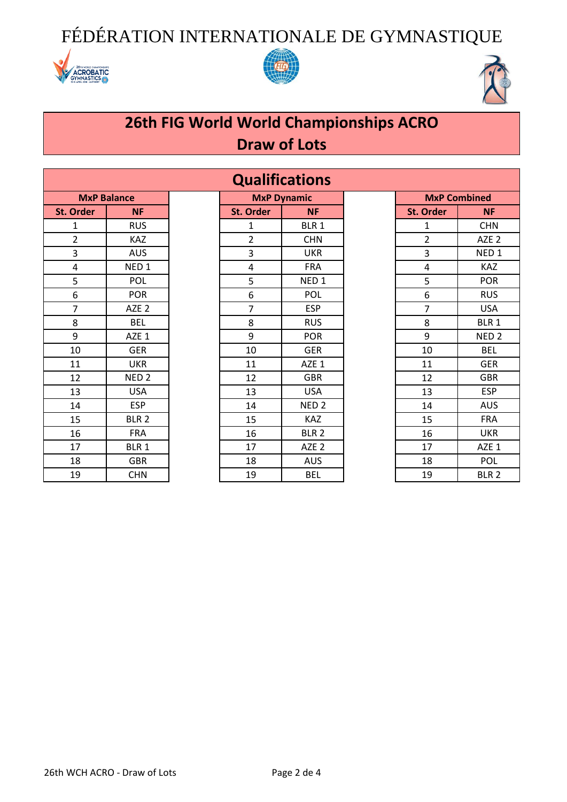





## **26th FIG World World Championships ACRO Draw of Lots**

|                  | <b>MxP Balance</b> |
|------------------|--------------------|
| <b>St. Order</b> | ΝF                 |
| 1                | RUS                |
| 2                | KAZ                |
| 3                | <b>AUS</b>         |
| 4                | NED <sub>1</sub>   |
| 5                | POL                |
| 6                | <b>POR</b>         |
| 7                | AZE <sub>2</sub>   |
| 8                | <b>BEL</b>         |
| 9                | AZE 1              |
| 10               | <b>GER</b>         |
| 11               | UKR                |
| 12               | NED <sub>2</sub>   |
| 13               | USA                |
| 14               | <b>ESP</b>         |
| 15               | BLR <sub>2</sub>   |
| 16               | <b>FRA</b>         |
| 17               | BLR 1              |
| 18               | <b>GBR</b>         |
| 19               | <b>CHN</b>         |

| <b>MxP Balance</b> | <b>MxP Dynamic</b><br><b>MxP Combined</b> |                |                  |  |                       |                  |
|--------------------|-------------------------------------------|----------------|------------------|--|-----------------------|------------------|
| <b>NF</b>          |                                           | St. Order      | <b>NF</b>        |  | St. Order             | <b>NF</b>        |
| <b>RUS</b>         |                                           | 1              | BLR 1            |  | $\mathbf{1}$          | <b>CHN</b>       |
| <b>KAZ</b>         |                                           | $\overline{2}$ | <b>CHN</b>       |  | $\overline{2}$        | AZE <sub>2</sub> |
| <b>AUS</b>         |                                           | 3              | <b>UKR</b>       |  | 3                     | NED <sub>1</sub> |
| NED <sub>1</sub>   |                                           | 4              | <b>FRA</b>       |  | 4                     | <b>KAZ</b>       |
| POL                |                                           | 5              | NED <sub>1</sub> |  | 5                     | <b>POR</b>       |
| <b>POR</b>         |                                           | 6              | POL              |  | 6                     | <b>RUS</b>       |
| AZE <sub>2</sub>   |                                           | $\overline{7}$ | <b>ESP</b>       |  | $\overline{7}$        | <b>USA</b>       |
| <b>BEL</b>         |                                           | 8              | <b>RUS</b>       |  | 8                     | BLR <sub>1</sub> |
| AZE 1              |                                           | 9              | <b>POR</b>       |  | 9                     | NED <sub>2</sub> |
| <b>GER</b>         |                                           | 10             | <b>GER</b>       |  | 10                    | <b>BEL</b>       |
| <b>UKR</b>         |                                           | 11             | AZE 1            |  | 11                    | <b>GER</b>       |
| NED <sub>2</sub>   |                                           | 12             | <b>GBR</b>       |  | 12                    | <b>GBR</b>       |
| <b>USA</b>         |                                           | 13             | <b>USA</b>       |  | 13                    | <b>ESP</b>       |
| <b>ESP</b>         |                                           | 14             | NED <sub>2</sub> |  | 14                    | <b>AUS</b>       |
| BLR <sub>2</sub>   |                                           | 15             | KAZ              |  | 15                    | <b>FRA</b>       |
| <b>FRA</b>         |                                           | 16             | BLR <sub>2</sub> |  | 16                    | <b>UKR</b>       |
| BLR 1              |                                           | 17             | AZE <sub>2</sub> |  | 17                    | AZE 1            |
| <b>GBR</b>         |                                           | 18             | <b>AUS</b>       |  | 18                    | <b>POL</b>       |
| <b>CHN</b>         |                                           | 19             | <b>BEL</b>       |  | 19                    | BLR <sub>2</sub> |
|                    |                                           |                |                  |  | <b>Qualifications</b> |                  |

| <b>MxP Combined</b>     |                  |  |  |  |  |
|-------------------------|------------------|--|--|--|--|
| <b>St. Order</b>        | ΝF               |  |  |  |  |
| 1                       | <b>CHN</b>       |  |  |  |  |
| $\overline{\mathbf{c}}$ | AZE <sub>2</sub> |  |  |  |  |
| 3                       | NED <sub>1</sub> |  |  |  |  |
| 4                       | KAZ              |  |  |  |  |
| 5                       | POR              |  |  |  |  |
| 6                       | RUS              |  |  |  |  |
| 7                       | USA              |  |  |  |  |
| 8                       | BLR 1            |  |  |  |  |
| 9                       | NED <sub>2</sub> |  |  |  |  |
| 10                      | <b>BEL</b>       |  |  |  |  |
| 11                      | GER              |  |  |  |  |
| 12                      | <b>GBR</b>       |  |  |  |  |
| 13                      | <b>ESP</b>       |  |  |  |  |
| 14                      | AUS              |  |  |  |  |
| 15                      | <b>FRA</b>       |  |  |  |  |
| 16                      | UKR              |  |  |  |  |
| 17                      | AZE 1            |  |  |  |  |
| 18                      | POL              |  |  |  |  |
| 19                      | BLR <sub>2</sub> |  |  |  |  |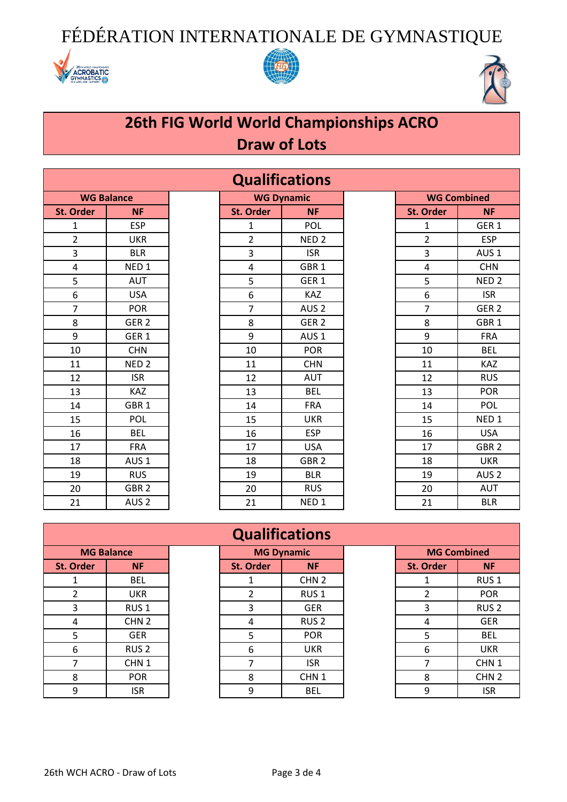





## **26th FIG World World Championships ACRO Draw of Lots**

| <b>WG Balance</b> |                  |  |  |  |  |
|-------------------|------------------|--|--|--|--|
| St. Order         | <b>NF</b>        |  |  |  |  |
| 1                 | <b>ESP</b>       |  |  |  |  |
| 2                 | UKR              |  |  |  |  |
| 3                 | <b>BLR</b>       |  |  |  |  |
| 4                 | NED <sub>1</sub> |  |  |  |  |
| 5                 | AUT              |  |  |  |  |
| 6                 | <b>USA</b>       |  |  |  |  |
| 7                 | <b>POR</b>       |  |  |  |  |
| 8                 | GER <sub>2</sub> |  |  |  |  |
| 9                 | GER <sub>1</sub> |  |  |  |  |
| 10                | <b>CHN</b>       |  |  |  |  |
| 11                | NED <sub>2</sub> |  |  |  |  |
| 12                | <b>ISR</b>       |  |  |  |  |
| 13                | KAZ              |  |  |  |  |
| 14                | GBR <sub>1</sub> |  |  |  |  |
| 15                | POL              |  |  |  |  |
| 16                | <b>BEL</b>       |  |  |  |  |
| 17                | <b>FRA</b>       |  |  |  |  |
| 18                | AUS <sub>1</sub> |  |  |  |  |
| 19                | <b>RUS</b>       |  |  |  |  |
| 20                | GBR <sub>2</sub> |  |  |  |  |
| 21                | AUS <sub>2</sub> |  |  |  |  |

| <b>Qualifications</b> |                   |  |                  |                   |  |                |                    |
|-----------------------|-------------------|--|------------------|-------------------|--|----------------|--------------------|
|                       | <b>WG Balance</b> |  |                  | <b>WG Dynamic</b> |  |                | <b>WG Combined</b> |
| <b>St. Order</b>      | <b>NF</b>         |  | <b>St. Order</b> | <b>NF</b>         |  | St. Order      | <b>NF</b>          |
| $\mathbf{1}$          | <b>ESP</b>        |  | $\mathbf{1}$     | POL               |  | $\mathbf{1}$   | GER <sub>1</sub>   |
| $\overline{2}$        | <b>UKR</b>        |  | $\overline{2}$   | NED <sub>2</sub>  |  | $\overline{2}$ | <b>ESP</b>         |
| 3                     | <b>BLR</b>        |  | 3                | <b>ISR</b>        |  | 3              | AUS <sub>1</sub>   |
| 4                     | NED <sub>1</sub>  |  | 4                | GBR <sub>1</sub>  |  | $\overline{4}$ | <b>CHN</b>         |
| 5                     | <b>AUT</b>        |  | 5                | GER <sub>1</sub>  |  | 5              | NED <sub>2</sub>   |
| 6                     | <b>USA</b>        |  | 6                | <b>KAZ</b>        |  | 6              | <b>ISR</b>         |
| $\overline{7}$        | <b>POR</b>        |  | $\overline{7}$   | AUS <sub>2</sub>  |  | $\overline{7}$ | GER <sub>2</sub>   |
| 8                     | GER <sub>2</sub>  |  | 8                | GER <sub>2</sub>  |  | 8              | GBR <sub>1</sub>   |
| 9                     | GER <sub>1</sub>  |  | 9                | AUS <sub>1</sub>  |  | 9              | <b>FRA</b>         |
| 10                    | <b>CHN</b>        |  | 10               | <b>POR</b>        |  | 10             | <b>BEL</b>         |
| 11                    | NED <sub>2</sub>  |  | 11               | <b>CHN</b>        |  | 11             | <b>KAZ</b>         |
| 12                    | <b>ISR</b>        |  | 12               | <b>AUT</b>        |  | 12             | <b>RUS</b>         |
| 13                    | <b>KAZ</b>        |  | 13               | <b>BEL</b>        |  | 13             | <b>POR</b>         |
| 14                    | GBR <sub>1</sub>  |  | 14               | <b>FRA</b>        |  | 14             | <b>POL</b>         |
| 15                    | <b>POL</b>        |  | 15               | <b>UKR</b>        |  | 15             | NED <sub>1</sub>   |
| 16                    | <b>BEL</b>        |  | 16               | <b>ESP</b>        |  | 16             | <b>USA</b>         |
| 17                    | <b>FRA</b>        |  | 17               | <b>USA</b>        |  | 17             | GBR <sub>2</sub>   |
| 18                    | AUS <sub>1</sub>  |  | 18               | GBR <sub>2</sub>  |  | 18             | <b>UKR</b>         |
| 19                    | <b>RUS</b>        |  | 19               | <b>BLR</b>        |  | 19             | AUS <sub>2</sub>   |
| 20                    | GBR <sub>2</sub>  |  | 20               | <b>RUS</b>        |  | 20             | AUT                |
| 21                    | AUS <sub>2</sub>  |  | 21               | NED <sub>1</sub>  |  | 21             | <b>BLR</b>         |

| <b>WG Combined</b>      |                  |  |  |  |  |
|-------------------------|------------------|--|--|--|--|
| St. Order               | NF               |  |  |  |  |
| 1                       | GER <sub>1</sub> |  |  |  |  |
| $\overline{\mathbf{c}}$ | <b>ESP</b>       |  |  |  |  |
| 3                       | AUS <sub>1</sub> |  |  |  |  |
| 4                       | <b>CHN</b>       |  |  |  |  |
| 5                       | NED <sub>2</sub> |  |  |  |  |
| 6                       | isr              |  |  |  |  |
| 7                       | GER <sub>2</sub> |  |  |  |  |
| 8                       | GBR <sub>1</sub> |  |  |  |  |
| 9                       | <b>FRA</b>       |  |  |  |  |
| 10                      | <b>BEL</b>       |  |  |  |  |
| 11                      | KAZ              |  |  |  |  |
| 12                      | <b>RUS</b>       |  |  |  |  |
| 13                      | POR              |  |  |  |  |
| 14                      | POL              |  |  |  |  |
| 15                      | NED <sub>1</sub> |  |  |  |  |
| 16                      | <b>USA</b>       |  |  |  |  |
| 17                      | GBR <sub>2</sub> |  |  |  |  |
| 18                      | UKR              |  |  |  |  |
| 19                      | AUS <sub>2</sub> |  |  |  |  |
| 20                      | <b>AUT</b>       |  |  |  |  |
| 21                      | BLR              |  |  |  |  |

| <b>MG Balance</b> |                  |  |  |  |  |
|-------------------|------------------|--|--|--|--|
| <b>St. Order</b>  | ΝF               |  |  |  |  |
| 1                 | BEL              |  |  |  |  |
| 2                 | UKR              |  |  |  |  |
| 3                 | RUS <sub>1</sub> |  |  |  |  |
| 4                 | CHN <sub>2</sub> |  |  |  |  |
| 5                 | <b>GER</b>       |  |  |  |  |
| 6                 | RUS <sub>2</sub> |  |  |  |  |
| 7                 | CHN <sub>1</sub> |  |  |  |  |
| 8                 | POR              |  |  |  |  |
| q                 | ISR              |  |  |  |  |

### **Qualifications**

| <b>MG Balance</b> |                  | <b>MG Dynamic</b> |                  | <b>MG Combined</b> |                  |
|-------------------|------------------|-------------------|------------------|--------------------|------------------|
| <b>St. Order</b>  | <b>NF</b>        | St. Order         | <b>NF</b>        | <b>St. Order</b>   | <b>NF</b>        |
|                   | <b>BEL</b>       |                   | CHN <sub>2</sub> |                    | RUS <sub>1</sub> |
|                   | <b>UKR</b>       |                   | RUS <sub>1</sub> |                    | <b>POR</b>       |
| 3                 | RUS <sub>1</sub> | 3                 | <b>GER</b>       | 3                  | RUS <sub>2</sub> |
| 4                 | CHN <sub>2</sub> | 4                 | RUS <sub>2</sub> | 4                  | <b>GER</b>       |
| 5                 | <b>GER</b>       | 5                 | <b>POR</b>       | 5                  | <b>BEL</b>       |
| 6                 | RUS <sub>2</sub> | 6                 | <b>UKR</b>       | 6                  | <b>UKR</b>       |
|                   | CHN <sub>1</sub> |                   | <b>ISR</b>       |                    | CHN <sub>1</sub> |
| 8                 | <b>POR</b>       | 8                 | CHN <sub>1</sub> | 8                  | CHN <sub>2</sub> |
| 9                 | <b>ISR</b>       | 9                 | <b>BEL</b>       | 9                  | <b>ISR</b>       |

| <b>MG Combined</b> |                  |  |  |  |
|--------------------|------------------|--|--|--|
| <b>St. Order</b>   | ΝF               |  |  |  |
| 1                  | RUS <sub>1</sub> |  |  |  |
| 2                  | <b>POR</b>       |  |  |  |
| 3                  | RUS <sub>2</sub> |  |  |  |
| 4                  | GER              |  |  |  |
| 5                  | BEL              |  |  |  |
| 6                  | UKR              |  |  |  |
| 7                  | CHN 1            |  |  |  |
| 8                  | CHN <sub>2</sub> |  |  |  |
| 9                  | ISR              |  |  |  |